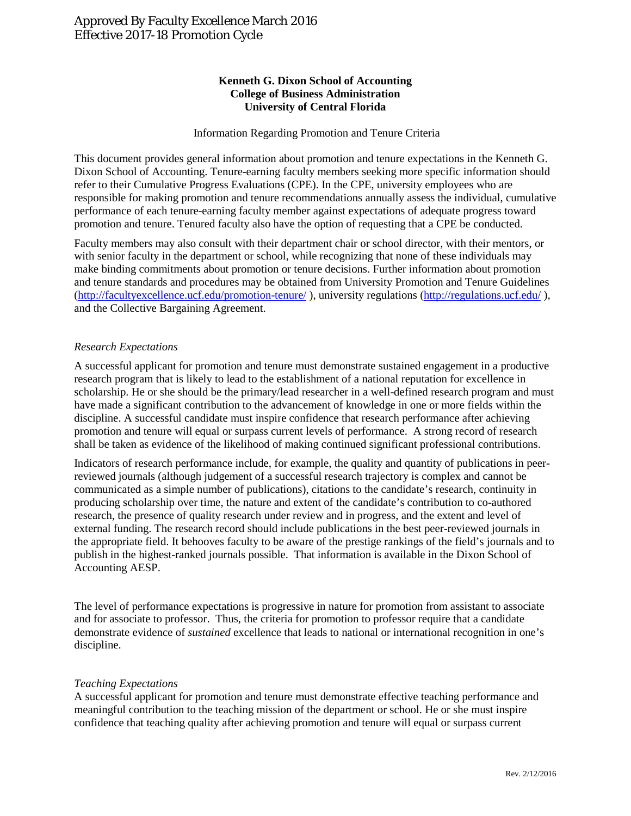# **Kenneth G. Dixon School of Accounting College of Business Administration University of Central Florida**

## Information Regarding Promotion and Tenure Criteria

This document provides general information about promotion and tenure expectations in the Kenneth G. Dixon School of Accounting. Tenure-earning faculty members seeking more specific information should refer to their Cumulative Progress Evaluations (CPE). In the CPE, university employees who are responsible for making promotion and tenure recommendations annually assess the individual, cumulative performance of each tenure-earning faculty member against expectations of adequate progress toward promotion and tenure. Tenured faculty also have the option of requesting that a CPE be conducted.

Faculty members may also consult with their department chair or school director, with their mentors, or with senior faculty in the department or school, while recognizing that none of these individuals may make binding commitments about promotion or tenure decisions. Further information about promotion and tenure standards and procedures may be obtained from University Promotion and Tenure Guidelines [\(http://facultyexcellence.ucf.edu/promotion-tenure/](http://facultyexcellence.ucf.edu/promotion-tenure/) ), university regulations [\(http://regulations.ucf.edu/](http://regulations.ucf.edu/) ), and the Collective Bargaining Agreement.

### *Research Expectations*

A successful applicant for promotion and tenure must demonstrate sustained engagement in a productive research program that is likely to lead to the establishment of a national reputation for excellence in scholarship. He or she should be the primary/lead researcher in a well-defined research program and must have made a significant contribution to the advancement of knowledge in one or more fields within the discipline. A successful candidate must inspire confidence that research performance after achieving promotion and tenure will equal or surpass current levels of performance. A strong record of research shall be taken as evidence of the likelihood of making continued significant professional contributions.

Indicators of research performance include, for example, the quality and quantity of publications in peerreviewed journals (although judgement of a successful research trajectory is complex and cannot be communicated as a simple number of publications), citations to the candidate's research, continuity in producing scholarship over time, the nature and extent of the candidate's contribution to co-authored research, the presence of quality research under review and in progress, and the extent and level of external funding. The research record should include publications in the best peer-reviewed journals in the appropriate field. It behooves faculty to be aware of the prestige rankings of the field's journals and to publish in the highest-ranked journals possible. That information is available in the Dixon School of Accounting AESP.

The level of performance expectations is progressive in nature for promotion from assistant to associate and for associate to professor. Thus, the criteria for promotion to professor require that a candidate demonstrate evidence of *sustained* excellence that leads to national or international recognition in one's discipline.

#### *Teaching Expectations*

A successful applicant for promotion and tenure must demonstrate effective teaching performance and meaningful contribution to the teaching mission of the department or school. He or she must inspire confidence that teaching quality after achieving promotion and tenure will equal or surpass current